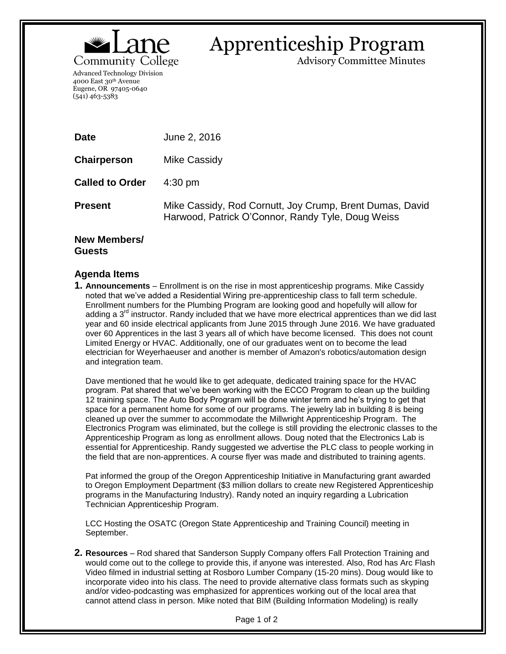

# Apprenticeship Program

Advisory Committee Minutes

Advanced Technology Division 4000 East 30th Avenue Eugene, OR 97405-0640 (541) 463-5383

| <b>Date</b>            | June 2, 2016                                                                                                  |
|------------------------|---------------------------------------------------------------------------------------------------------------|
| Chairperson            | Mike Cassidy                                                                                                  |
| <b>Called to Order</b> | $4:30 \text{ pm}$                                                                                             |
| <b>Present</b>         | Mike Cassidy, Rod Cornutt, Joy Crump, Brent Dumas, David<br>Harwood, Patrick O'Connor, Randy Tyle, Doug Weiss |
|                        |                                                                                                               |

## **New Members/ Guests**

# **Agenda Items**

**1. Announcements** – Enrollment is on the rise in most apprenticeship programs. Mike Cassidy noted that we've added a Residential Wiring pre-apprenticeship class to fall term schedule. Enrollment numbers for the Plumbing Program are looking good and hopefully will allow for adding a  $3<sup>rd</sup>$  instructor. Randy included that we have more electrical apprentices than we did last year and 60 inside electrical applicants from June 2015 through June 2016. We have graduated over 60 Apprentices in the last 3 years all of which have become licensed. This does not count Limited Energy or HVAC. Additionally, one of our graduates went on to become the lead electrician for Weyerhaeuser and another is member of Amazon's robotics/automation design and integration team.

Dave mentioned that he would like to get adequate, dedicated training space for the HVAC program. Pat shared that we've been working with the ECCO Program to clean up the building 12 training space. The Auto Body Program will be done winter term and he's trying to get that space for a permanent home for some of our programs. The jewelry lab in building 8 is being cleaned up over the summer to accommodate the Millwright Apprenticeship Program. The Electronics Program was eliminated, but the college is still providing the electronic classes to the Apprenticeship Program as long as enrollment allows. Doug noted that the Electronics Lab is essential for Apprenticeship. Randy suggested we advertise the PLC class to people working in the field that are non-apprentices. A course flyer was made and distributed to training agents.

Pat informed the group of the Oregon Apprenticeship Initiative in Manufacturing grant awarded to Oregon Employment Department (\$3 million dollars to create new Registered Apprenticeship programs in the Manufacturing Industry). Randy noted an inquiry regarding a Lubrication Technician Apprenticeship Program.

LCC Hosting the OSATC (Oregon State Apprenticeship and Training Council) meeting in September.

**2. Resources** – Rod shared that Sanderson Supply Company offers Fall Protection Training and would come out to the college to provide this, if anyone was interested. Also, Rod has Arc Flash Video filmed in industrial setting at Rosboro Lumber Company (15-20 mins). Doug would like to incorporate video into his class. The need to provide alternative class formats such as skyping and/or video-podcasting was emphasized for apprentices working out of the local area that cannot attend class in person. Mike noted that BIM (Building Information Modeling) is really